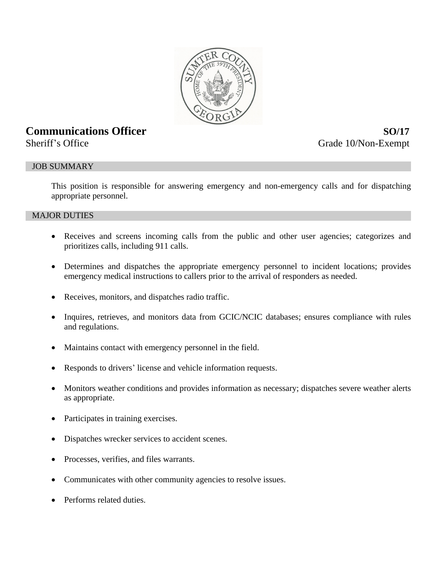

# **Communications Officer** *SO***/17**

Sheriff's Office Grade 10/Non-Exempt

# JOB SUMMARY

This position is responsible for answering emergency and non-emergency calls and for dispatching appropriate personnel.

## MAJOR DUTIES

- Receives and screens incoming calls from the public and other user agencies; categorizes and prioritizes calls, including 911 calls.
- Determines and dispatches the appropriate emergency personnel to incident locations; provides emergency medical instructions to callers prior to the arrival of responders as needed.
- Receives, monitors, and dispatches radio traffic.
- Inquires, retrieves, and monitors data from GCIC/NCIC databases; ensures compliance with rules and regulations.
- Maintains contact with emergency personnel in the field.
- Responds to drivers' license and vehicle information requests.
- Monitors weather conditions and provides information as necessary; dispatches severe weather alerts as appropriate.
- Participates in training exercises.
- Dispatches wrecker services to accident scenes.
- Processes, verifies, and files warrants.
- Communicates with other community agencies to resolve issues.
- Performs related duties.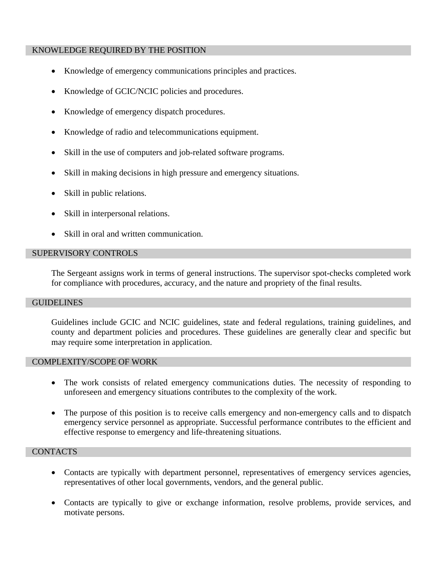## KNOWLEDGE REQUIRED BY THE POSITION

- Knowledge of emergency communications principles and practices.
- Knowledge of GCIC/NCIC policies and procedures.
- Knowledge of emergency dispatch procedures.
- Knowledge of radio and telecommunications equipment.
- Skill in the use of computers and job-related software programs.
- Skill in making decisions in high pressure and emergency situations.
- Skill in public relations.
- Skill in interpersonal relations.
- Skill in oral and written communication.

## SUPERVISORY CONTROLS

The Sergeant assigns work in terms of general instructions. The supervisor spot-checks completed work for compliance with procedures, accuracy, and the nature and propriety of the final results.

#### **GUIDELINES**

Guidelines include GCIC and NCIC guidelines, state and federal regulations, training guidelines, and county and department policies and procedures. These guidelines are generally clear and specific but may require some interpretation in application.

#### COMPLEXITY/SCOPE OF WORK

- The work consists of related emergency communications duties. The necessity of responding to unforeseen and emergency situations contributes to the complexity of the work.
- The purpose of this position is to receive calls emergency and non-emergency calls and to dispatch emergency service personnel as appropriate. Successful performance contributes to the efficient and effective response to emergency and life-threatening situations.

#### **CONTACTS**

- Contacts are typically with department personnel, representatives of emergency services agencies, representatives of other local governments, vendors, and the general public.
- Contacts are typically to give or exchange information, resolve problems, provide services, and motivate persons.